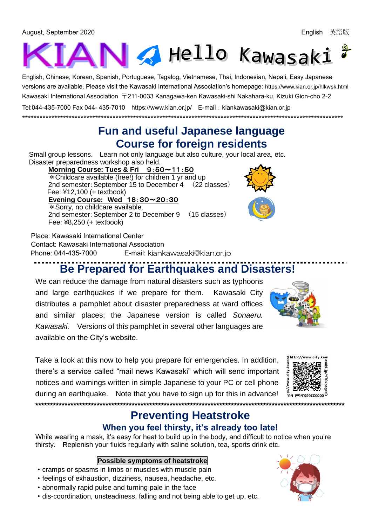August, September 2020 English 英語版



English, Chinese, Korean, Spanish, Portuguese, Tagalog, Vietnamese, Thai, Indonesian, Nepali, Easy Japanese versions are available. Please visit the Kawasaki International Association's homepage: <https://www.kian.or.jp/hlkwsk.html> Kawasaki International Association 〒211-0033 Kanagawa-ken Kawasaki-shi Nakahara-ku, Kizuki Gion-cho 2-2 Tel:044-435-7000 Fax 044- 435-7010 <https://www.kian.or.jp/>E-mail:kiankawasaki@kian.or.jp

### **Fun and useful Japanese language Course for foreign residents**

Small group lessons. Learn not only language but also culture, your local area, etc. Disaster preparedness workshop also held.

\*\*\*\*\*\*\*\*\*\*\*\*\*\*\*\*\*\*\*\*\*\*\*\*\*\*\*\*\*\*\*\*\*\*\*\*\*\*\*\*\*\*\*\*\*\*\*\*\*\*\*\*\*\*\*\*\*\*\*\*\*\*\*\*\*\*\*\*\*\*\*\*\*\*\*\*\*\*\*\*\*\*\*\*\*\*\*\*\*\*\*\*\*\*\*\*\*\*\*\*\*\*\*\*\*\*\*\*\*\*

 **Morning Course: Tues & Fri** 9:50~11:50  $*$  Childcare available (free!) for children 1 yr and up 2nd semester:September 15 to December 4 (22 classes) Fee: ¥12,100 (+ textbook)  **Evening Course: Wed** 18:30~20:30 \*Sorry, no childcare available. 2nd semester:September 2 to December 9 (15 classes) Fee: ¥8,250 (+ textbook)

Place: Kawasaki International Center Contact: Kawasaki International Association Phone: 044-435-7000 E-mail: [kiankawasaki@kian.or.jp](mailto:kiankawasaki@kian.or.jp)

## **Be Prepared for Earthquakes and Disasters!**

We can reduce the damage from natural disasters such as typhoons and large earthquakes if we prepare for them. Kawasaki City distributes a pamphlet about disaster preparedness at ward offices and similar places; the Japanese version is called *Sonaeru. Kawasaki.* Versions of this pamphlet in several other languages are available on the City's website.

Take a look at this now to help you prepare for emergencies. In addition, there's a service called "mail news Kawasaki" which will send important notices and warnings written in simple Japanese to your PC or cell phone during an earthquake. Note that you have to sign up for this in advance! **\*\*\*\*\*\*\*\*\*\*\*\*\*\*\*\*\*\*\*\*\*\*\*\*\*\*\*\*\*\*\*\*\*\*\*\*\*\*\*\*\*\*\*\*\*\*\*\*\*\*\*\*\*\*\*\*\*\*\*\*\*\*\*\*\*\*\*\*\*\*\*\*\*\*\*\*\*\*\*\*\*\*\*\*\*\*\*\*\*\*\*\*\*\*\*\*\*\*\*\*\*\*\*\*\*\***

# **Preventing Heatstroke**

#### **When you feel thirsty, it's already too late!**

While wearing a mask, it's easy for heat to build up in the body, and difficult to notice when you're thirsty. Replenish your fluids regularly with saline solution, tea, sports drink etc.

#### **Possible symptoms of heatstroke**

- ・cramps or spasms in limbs or muscles with muscle pain
- ・feelings of exhaustion, dizziness, nausea, headache, etc.
- ・abnormally rapid pulse and turning pale in the face
- ・dis-coordination, unsteadiness, falling and not being able to get up, etc.